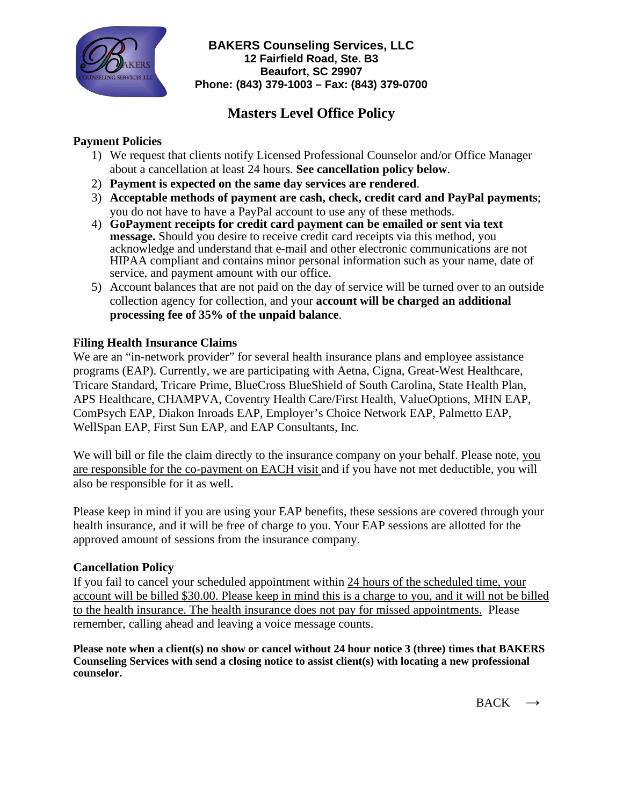

**BAKERS Counseling Services, LLC 12 Fairfield Road, Ste. B3 Beaufort, SC 29907 Phone: (843) 379-1003 – Fax: (843) 379-0700**

# **Masters Level Office Policy**

## **Payment Policies**

- 1) We request that clients notify Licensed Professional Counselor and/or Office Manager about a cancellation at least 24 hours. **See cancellation policy below**.
- 2) **Payment is expected on the same day services are rendered**.
- 3) **Acceptable methods of payment are cash, check, credit card and PayPal payments**; you do not have to have a PayPal account to use any of these methods.
- 4) **GoPayment receipts for credit card payment can be emailed or sent via text message.** Should you desire to receive credit card receipts via this method, you acknowledge and understand that e-mail and other electronic communications are not HIPAA compliant and contains minor personal information such as your name, date of service, and payment amount with our office.
- 5) Account balances that are not paid on the day of service will be turned over to an outside collection agency for collection, and your **account will be charged an additional processing fee of 35% of the unpaid balance**.

### **Filing Health Insurance Claims**

We are an "in-network provider" for several health insurance plans and employee assistance programs (EAP). Currently, we are participating with Aetna, Cigna, Great-West Healthcare, Tricare Standard, Tricare Prime, BlueCross BlueShield of South Carolina, State Health Plan, APS Healthcare, CHAMPVA, Coventry Health Care/First Health, ValueOptions, MHN EAP, ComPsych EAP, Diakon Inroads EAP, Employer's Choice Network EAP, Palmetto EAP, WellSpan EAP, First Sun EAP, and EAP Consultants, Inc.

We will bill or file the claim directly to the insurance company on your behalf. Please note, you are responsible for the co-payment on EACH visit and if you have not met deductible, you will also be responsible for it as well.

Please keep in mind if you are using your EAP benefits, these sessions are covered through your health insurance, and it will be free of charge to you. Your EAP sessions are allotted for the approved amount of sessions from the insurance company.

### **Cancellation Policy**

If you fail to cancel your scheduled appointment within 24 hours of the scheduled time, your account will be billed \$30.00. Please keep in mind this is a charge to you, and it will not be billed to the health insurance. The health insurance does not pay for missed appointments. Please remember, calling ahead and leaving a voice message counts.

**Please note when a client(s) no show or cancel without 24 hour notice 3 (three) times that BAKERS Counseling Services with send a closing notice to assist client(s) with locating a new professional counselor.**

 $BACK \rightarrow$